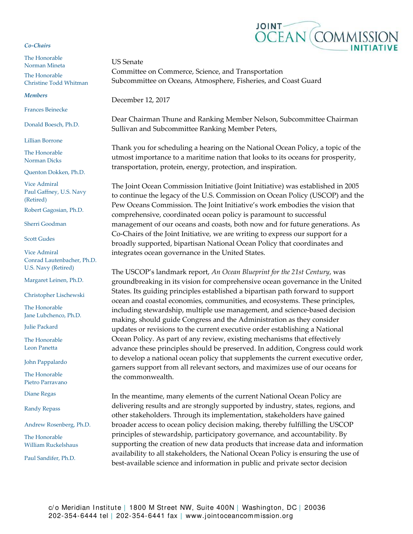## *Co‐Chairs*

The Honorable Norman Mineta The Honorable Christine Todd Whitman

## *Members*

Frances Beinecke

Donald Boesch, Ph.D.

Lillian Borrone

The Honorable Norman Dicks

Quenton Dokken, Ph.D.

Vice Admiral Paul Gaffney, U.S. Navy (Retired)

Robert Gagosian, Ph.D.

Sherri Goodman

Scott Gudes

Vice Admiral Conrad Lautenbacher, Ph.D. U.S. Navy (Retired)

Margaret Leinen, Ph.D.

Christopher Lischewski

The Honorable Jane Lubchenco, Ph.D.

Julie Packard

The Honorable Leon Panetta

John Pappalardo

The Honorable Pietro Parravano

Diane Regas

Randy Repass

Andrew Rosenberg, Ph.D.

The Honorable William Ruckelshaus

Paul Sandifer, Ph.D.



December 12, 2017

Dear Chairman Thune and Ranking Member Nelson, Subcommittee Chairman Sullivan and Subcommittee Ranking Member Peters,

Thank you for scheduling a hearing on the National Ocean Policy, a topic of the utmost importance to a maritime nation that looks to its oceans for prosperity, transportation, protein, energy, protection, and inspiration.

The Joint Ocean Commission Initiative (Joint Initiative) was established in 2005 to continue the legacy of the U.S. Commission on Ocean Policy (USCOP) and the Pew Oceans Commission. The Joint Initiative's work embodies the vision that comprehensive, coordinated ocean policy is paramount to successful management of our oceans and coasts, both now and for future generations. As Co‐Chairs of the Joint Initiative, we are writing to express our support for a broadly supported, bipartisan National Ocean Policy that coordinates and integrates ocean governance in the United States.

The USCOP's landmark report, *An Ocean Blueprint for the 21st Century*, was groundbreaking in its vision for comprehensive ocean governance in the United States. Its guiding principles established a bipartisan path forward to support ocean and coastal economies, communities, and ecosystems. These principles, including stewardship, multiple use management, and science‐based decision making, should guide Congress and the Administration as they consider updates or revisions to the current executive order establishing a National Ocean Policy. As part of any review, existing mechanisms that effectively advance these principles should be preserved. In addition, Congress could work to develop a national ocean policy that supplements the current executive order, garners support from all relevant sectors, and maximizes use of our oceans for the commonwealth.

In the meantime, many elements of the current National Ocean Policy are delivering results and are strongly supported by industry, states, regions, and other stakeholders. Through its implementation, stakeholders have gained broader access to ocean policy decision making, thereby fulfilling the USCOP principles of stewardship, participatory governance, and accountability. By supporting the creation of new data products that increase data and information availability to all stakeholders, the National Ocean Policy is ensuring the use of best‐available science and information in public and private sector decision